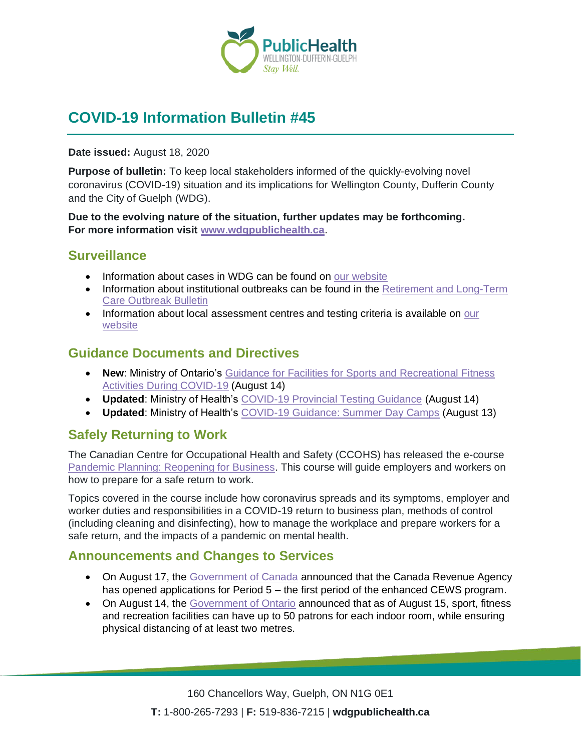

# **COVID-19 Information Bulletin #45**

**Date issued:** August 18, 2020

**Purpose of bulletin:** To keep local stakeholders informed of the quickly-evolving novel coronavirus (COVID-19) situation and its implications for Wellington County, Dufferin County and the City of Guelph (WDG).

**Due to the evolving nature of the situation, further updates may be forthcoming. For more information visit [www.wdgpublichealth.ca](http://www.wdgpublichealth.ca/)**.

#### **Surveillance**

- Information about cases in WDG can be found on [our website](https://wdgpublichealth.ca/your-health/covid-19-information-public/status-cases-wdg)
- Information about institutional outbreaks can be found in the Retirement and Long-Term [Care Outbreak Bulletin](https://wdgpublichealth.ca/node/1542)
- Information about local assessment centres and testing criteria is available on our [website](https://www.wdgpublichealth.ca/your-health/covid-19-information-public/assessment-centres-wdg)

#### **Guidance Documents and Directives**

- **New**: Ministry of Ontario's [Guidance for Facilities for Sports and Recreational Fitness](https://www.ontario.ca/page/guidance-facilities-sports-and-recreational-fitness-activities-during-covid-19?_ga=2.137725747.2026766082.1597755513-1123331746.1579028832)  [Activities During COVID-19](https://www.ontario.ca/page/guidance-facilities-sports-and-recreational-fitness-activities-during-covid-19?_ga=2.137725747.2026766082.1597755513-1123331746.1579028832) (August 14)
- **Updated**: Ministry of Health's [COVID-19 Provincial Testing Guidance](http://www.health.gov.on.ca/en/pro/programs/publichealth/coronavirus/docs/2019_testing_guidance.pdf) (August 14)
- **Updated**: Ministry of Health's [COVID-19 Guidance: Summer Day Camps](http://www.health.gov.on.ca/en/pro/programs/publichealth/coronavirus/docs/2019_summer_day_camps_guidance.pdf) (August 13)

## **Safely Returning to Work**

The Canadian Centre for Occupational Health and Safety (CCOHS) has released the e-course [Pandemic Planning: Reopening for Business.](:%20www.ccohs.ca/products/courses/pandemic-reopening/) This course will guide employers and workers on how to prepare for a safe return to work.

Topics covered in the course include how coronavirus spreads and its symptoms, employer and worker duties and responsibilities in a COVID-19 return to business plan, methods of control (including cleaning and disinfecting), how to manage the workplace and prepare workers for a safe return, and the impacts of a pandemic on mental health.

#### **Announcements and Changes to Services**

- On August 17, the [Government of Canada](https://www.canada.ca/en/revenue-agency/news/2020/08/canada-revenue-agency-opens-applications-for-enhanced-canada-emergency-wage-subsidy.html) announced that the Canada Revenue Agency has opened applications for Period 5 – the first period of the enhanced CEWS program.
- On August 14, the [Government of Ontario](https://news.ontario.ca/opo/en/2020/08/ontario-supporting-the-safe-reopening-of-more-spaces-at-gyms-and-recreation-centres.html) announced that as of August 15, sport, fitness and recreation facilities can have up to 50 patrons for each indoor room, while ensuring physical distancing of at least two metres.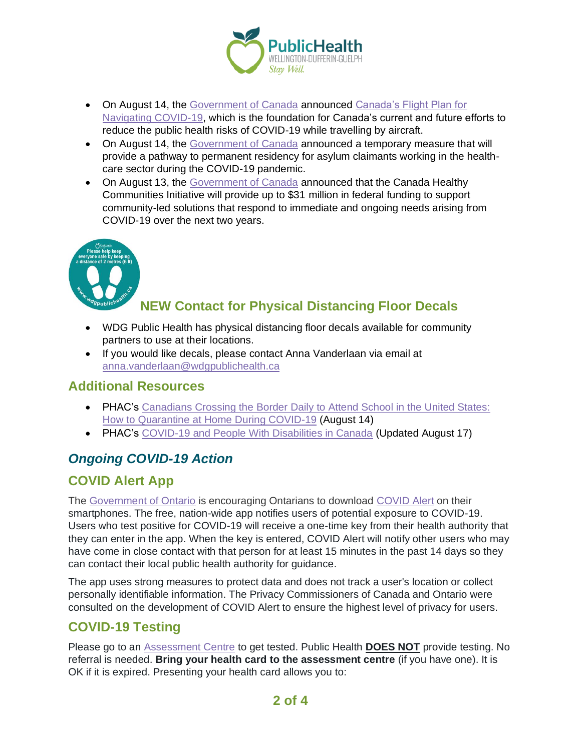

- On August 14, the [Government of Canada](https://www.canada.ca/en/transport-canada/news/2020/08/government-of-canada-releases-canadas-flight-plan-for-safe-air-travel.html) announced Canada's Flight Plan for [Navigating COVID-19,](https://tc.canada.ca/en/initiatives/covid-19-measures-updates-guidance-issued-transport-canada/canada-s-flight-plan-navigating-covid-19) which is the foundation for Canada's current and future efforts to reduce the public health risks of COVID-19 while travelling by aircraft.
- On August 14, the [Government of Canada](https://www.canada.ca/en/immigration-refugees-citizenship/news/2020/08/pathway-to-permanent-residency-recognizes-exceptional-service-of-asylum-claimants-on-front-lines-of-covid-19-pandemic.html) announced a temporary measure that will provide a pathway to permanent residency for asylum claimants working in the healthcare sector during the COVID-19 pandemic.
- On August 13, the [Government of Canada](https://www.canada.ca/en/office-infrastructure/news/2020/08/direct-help-for-bright-ideas-to-make-safer-pandemic-resilient-communities.html) announced that the Canada Healthy Communities Initiative will provide up to \$31 million in federal funding to support community-led solutions that respond to immediate and ongoing needs arising from COVID-19 over the next two years.



## **NEW Contact for Physical Distancing Floor Decals**

- WDG Public Health has physical distancing floor decals available for community partners to use at their locations.
- If you would like decals, please contact Anna Vanderlaan via email at [anna.vanderlaan@wdgpublichealth.ca](https://wdgpublichealth.sharepoint.com/sites/IMS-NovelCoronavirus/Shared%20Documents/General/Communications/COVID-19/Stakeholders/COVID-19%20Information%20Bulletin/Bulletin%2018/meghan.wiles@wdgpublichealth.ca)

#### **Additional Resources**

- PHAC's Canadians Crossing the Border Daily to Attend School in the United States: [How to Quarantine at Home During COVID-19](https://www.canada.ca/en/public-health/services/publications/diseases-conditions/covid-19-crossing-border-school-united-states.html) (August 14)
- PHAC's [COVID-19 and People With Disabilities in Canada](https://www.canada.ca/en/public-health/services/diseases/2019-novel-coronavirus-infection/guidance-documents/people-with-disabilities.html) (Updated August 17)

## *Ongoing COVID-19 Action*

## **COVID Alert App**

The [Government of Ontario](https://news.ontario.ca/opo/en/2020/07/covid-alert-available-for-download-beginning-today.html) is encouraging Ontarians to download [COVID Alert](https://covid-19.ontario.ca/covidalert?_ga=2.68068817.1702415536.1596548534-1123331746.1579028832) on their smartphones. The free, nation-wide app notifies users of potential exposure to COVID-19. Users who test positive for COVID-19 will receive a one-time key from their health authority that they can enter in the app. When the key is entered, COVID Alert will notify other users who may have come in close contact with that person for at least 15 minutes in the past 14 days so they can contact their local public health authority for guidance.

The app uses strong measures to protect data and does not track a user's location or collect personally identifiable information. The Privacy Commissioners of Canada and Ontario were consulted on the development of COVID Alert to ensure the highest level of privacy for users.

## **COVID-19 Testing**

Please go to an [Assessment Centre](https://wdgpublichealth.ca/your-health/covid-19-information-public/assessment-centres-wdg) to get tested. Public Health **DOES NOT** provide testing. No referral is needed. **Bring your health card to the assessment centre** (if you have one). It is OK if it is expired. Presenting your health card allows you to: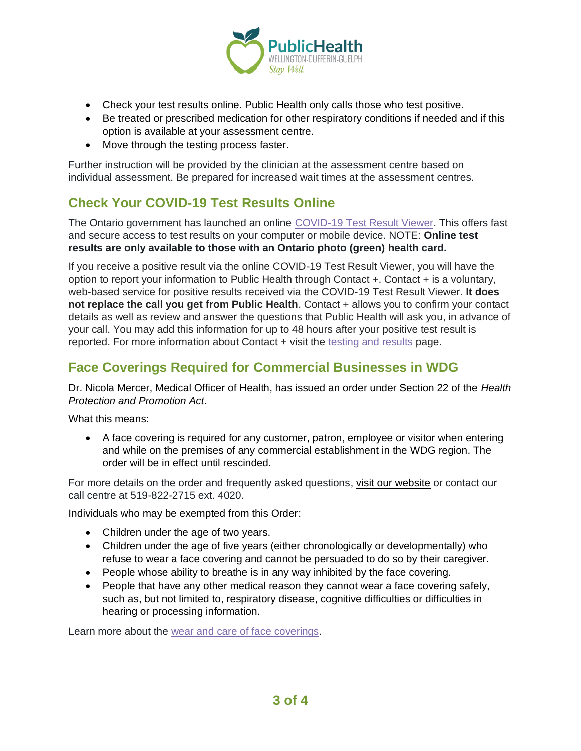

- Check your test results online. Public Health only calls those who test positive.
- Be treated or prescribed medication for other respiratory conditions if needed and if this option is available at your assessment centre.
- Move through the testing process faster.

Further instruction will be provided by the clinician at the assessment centre based on individual assessment. Be prepared for increased wait times at the assessment centres.

#### **Check Your COVID-19 Test Results Online**

The Ontario government has launched an online [COVID-19 Test Result Viewer.](https://covid19results.ehealthontario.ca:4443/agree) This offers fast and secure access to test results on your computer or mobile device. NOTE: **Online test results are only available to those with an Ontario photo (green) health card.**

If you receive a positive result via the online COVID-19 Test Result Viewer, you will have the option to report your information to Public Health through Contact +. Contact + is a voluntary, web-based service for positive results received via the COVID-19 Test Result Viewer. **It does not replace the call you get from Public Health**. Contact + allows you to confirm your contact details as well as review and answer the questions that Public Health will ask you, in advance of your call. You may add this information for up to 48 hours after your positive test result is reported. For more information about Contact + visit the [testing and results](https://www.wdgpublichealth.ca/your-health/covid-19-information-public/testing-and-results) page.

## **Face Coverings Required for Commercial Businesses in WDG**

Dr. Nicola Mercer, Medical Officer of Health, has issued an order under Section 22 of the *Health Protection and Promotion Act*.

What this means:

• A face covering is required for any customer, patron, employee or visitor when entering and while on the premises of any commercial establishment in the WDG region. The order will be in effect until rescinded.

For more details on the order and frequently asked questions, [visit our website](https://www.wdgpublichealth.ca/your-health/covid-19-information-public/face-coverings-class-order-and-faqs) or contact our call centre at 519-822-2715 ext. 4020.

Individuals who may be exempted from this Order:

- Children under the age of two years.
- Children under the age of five years (either chronologically or developmentally) who refuse to wear a face covering and cannot be persuaded to do so by their caregiver.
- People whose ability to breathe is in any way inhibited by the face covering.
- People that have any other medical reason they cannot wear a face covering safely, such as, but not limited to, respiratory disease, cognitive difficulties or difficulties in hearing or processing information.

Learn more about the [wear and care of face coverings.](https://www.wdgpublichealth.ca/your-health/covid-19-information-public/face-coverings-class-order-and-faqs/wear-and-care-face)